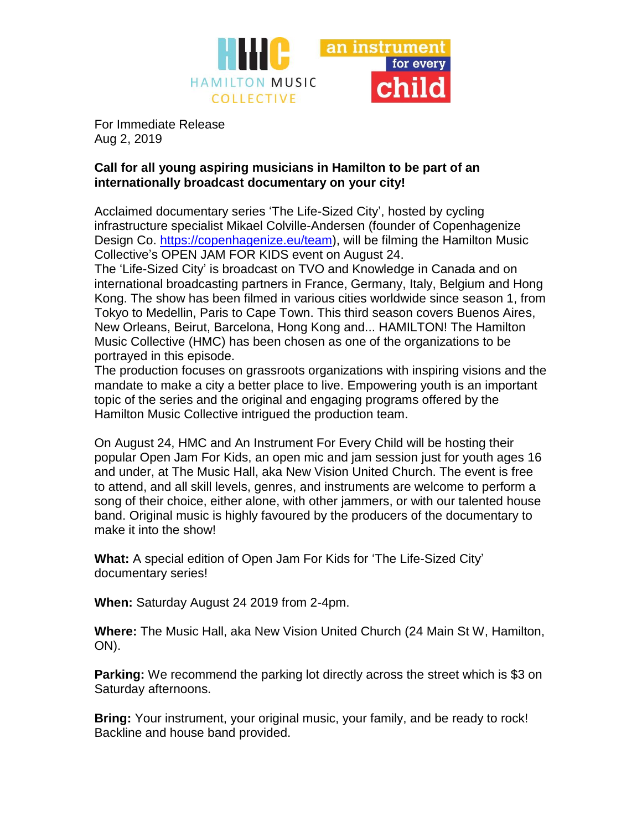

For Immediate Release Aug 2, 2019

## **Call for all young aspiring musicians in Hamilton to be part of an internationally broadcast documentary on your city!**

Acclaimed documentary series 'The Life-Sized City', hosted by cycling infrastructure specialist Mikael Colville-Andersen (founder of Copenhagenize Design Co. [https://copenhagenize.eu/team\)](https://copenhagenize.eu/team), will be filming the Hamilton Music Collective's OPEN JAM FOR KIDS event on August 24.

The 'Life-Sized City' is broadcast on TVO and Knowledge in Canada and on international broadcasting partners in France, Germany, Italy, Belgium and Hong Kong. The show has been filmed in various cities worldwide since season 1, from Tokyo to Medellin, Paris to Cape Town. This third season covers Buenos Aires, New Orleans, Beirut, Barcelona, Hong Kong and... HAMILTON! The Hamilton Music Collective (HMC) has been chosen as one of the organizations to be portrayed in this episode.

The production focuses on grassroots organizations with inspiring visions and the mandate to make a city a better place to live. Empowering youth is an important topic of the series and the original and engaging programs offered by the Hamilton Music Collective intrigued the production team.

On August 24, HMC and An Instrument For Every Child will be hosting their popular Open Jam For Kids, an open mic and jam session just for youth ages 16 and under, at The Music Hall, aka New Vision United Church. The event is free to attend, and all skill levels, genres, and instruments are welcome to perform a song of their choice, either alone, with other jammers, or with our talented house band. Original music is highly favoured by the producers of the documentary to make it into the show!

**What:** A special edition of Open Jam For Kids for 'The Life-Sized City' documentary series!

**When:** Saturday August 24 2019 from 2-4pm.

**Where:** The Music Hall, aka New Vision United Church (24 Main St W, Hamilton, ON).

**Parking:** We recommend the parking lot directly across the street which is \$3 on Saturday afternoons.

**Bring:** Your instrument, your original music, your family, and be ready to rock! Backline and house band provided.